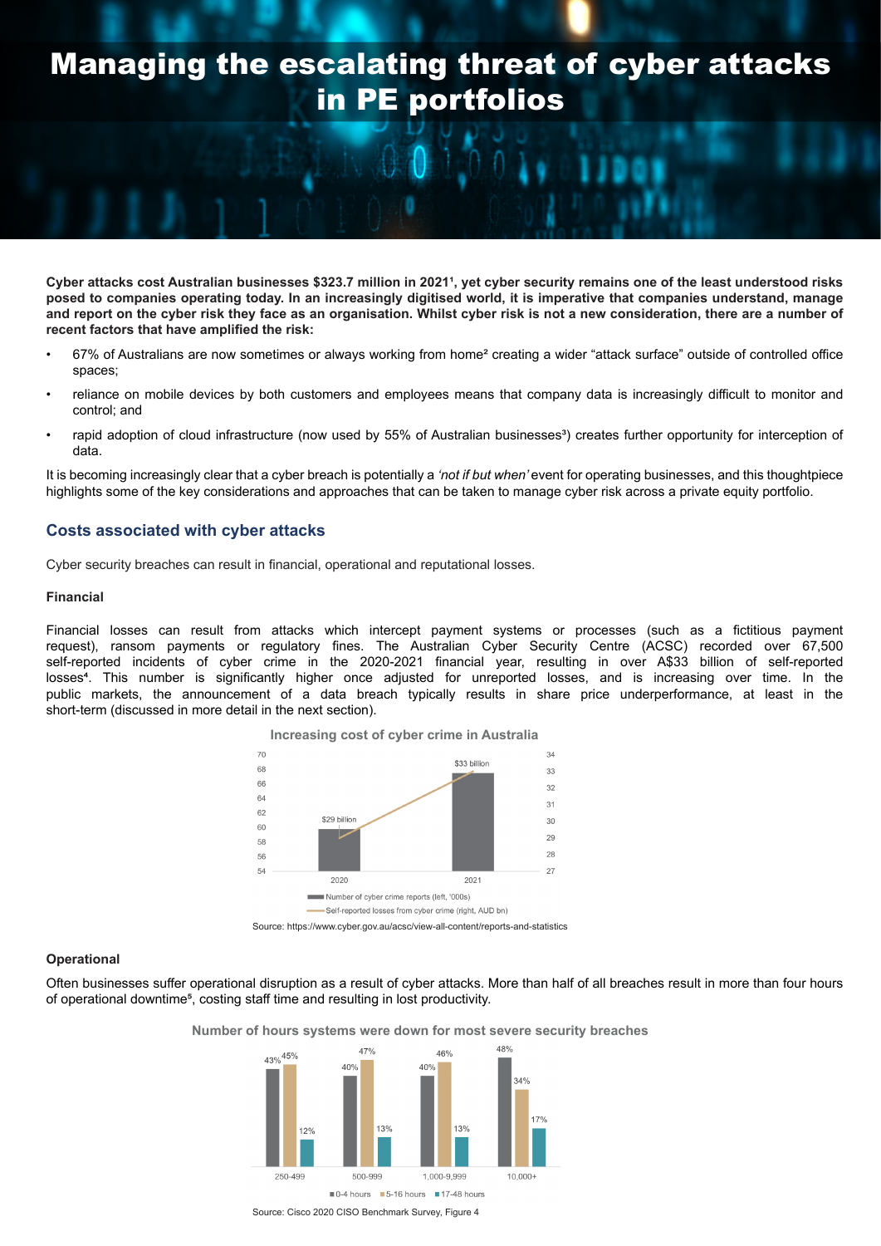# Managing the escalating threat of cyber attacks in PE portfolios

Cyber attacks cost Australian businesses \$323.7 million in 2021<sup>1</sup>, yet cyber security remains one of the least understood risks **posed to companies operating today. In an increasingly digitised world, it is imperative that companies understand, manage and report on the cyber risk they face as an organisation. Whilst cyber risk is not a new consideration, there are a number of recent factors that have amplified the risk:**

- 67% of Australians are now sometimes or always working from home² creating a wider "attack surface" outside of controlled office spaces;
- reliance on mobile devices by both customers and employees means that company data is increasingly difficult to monitor and control; and
- rapid adoption of cloud infrastructure (now used by 55% of Australian businesses<sup>3</sup>) creates further opportunity for interception of data.

It is becoming increasingly clear that a cyber breach is potentially a *'not if but when'* event for operating businesses, and this thoughtpiece highlights some of the key considerations and approaches that can be taken to manage cyber risk across a private equity portfolio.

# **Costs associated with cyber attacks**

Cyber security breaches can result in financial, operational and reputational losses.

#### **Financial**

Financial losses can result from attacks which intercept payment systems or processes (such as a fictitious payment request), ransom payments or regulatory fines. The Australian Cyber Security Centre (ACSC) recorded over 67,500 self-reported incidents of cyber crime in the 2020-2021 financial year, resulting in over A\$33 billion of self-reported losses<sup>4</sup>. This number is significantly higher once adjusted for unreported losses, and is increasing over time. In the public markets, the announcement of a data breach typically results in share price underperformance, at least in the short-term (discussed in more detail in the next section).



#### **Operational**

Often businesses suffer operational disruption as a result of cyber attacks. More than half of all breaches result in more than four hours of operational downtime<sup>5</sup>, costing staff time and resulting in lost productivity.

**Number of hours systems were down for most severe security breaches**



Source: Cisco 2020 CISO Benchmark Survey, Figure 4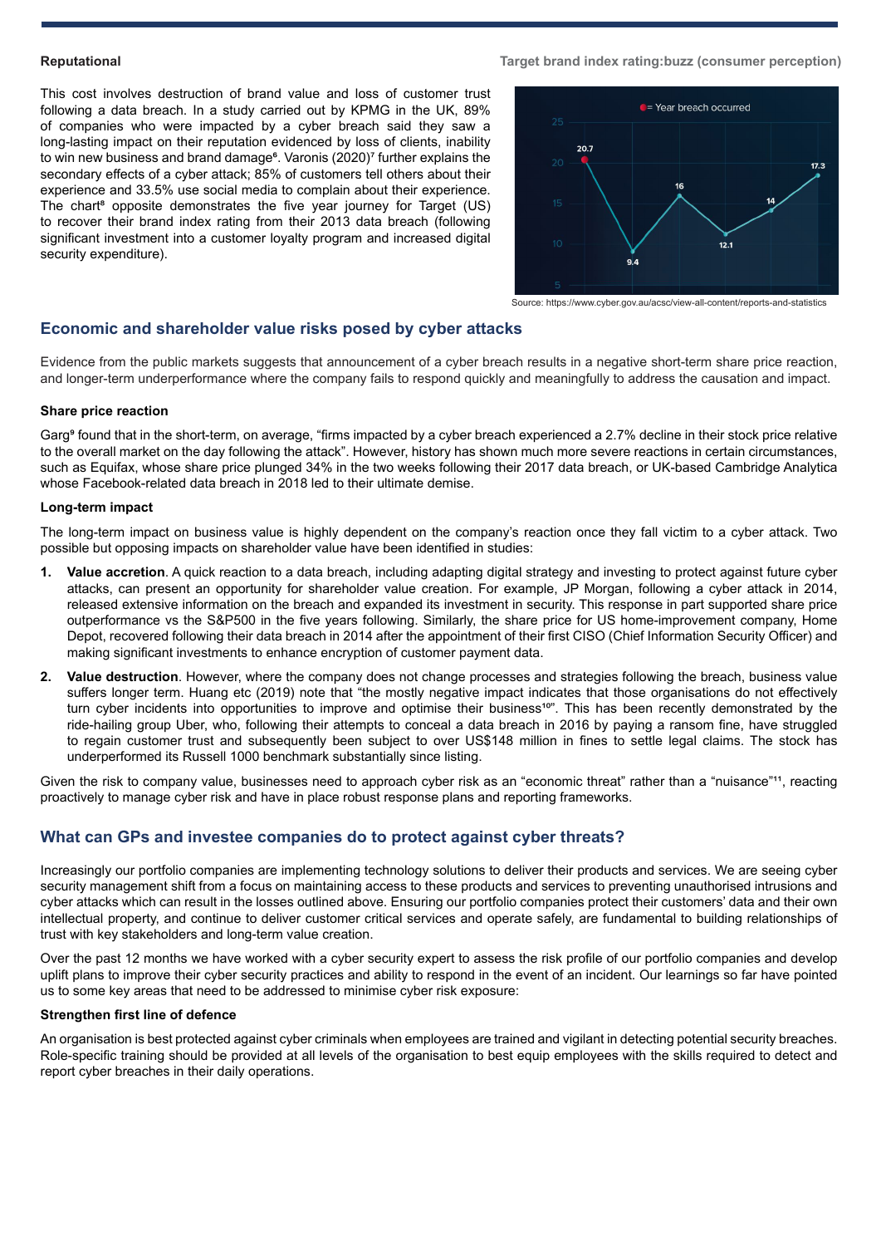#### **Reputational**

This cost involves destruction of brand value and loss of customer trust following a data breach. In a study carried out by KPMG in the UK, 89% of companies who were impacted by a cyber breach said they saw a long-lasting impact on their reputation evidenced by loss of clients, inability to win new business and brand damage<sup>6</sup>. Varonis (2020)<sup>7</sup> further explains the secondary effects of a cyber attack; 85% of customers tell others about their experience and 33.5% use social media to complain about their experience. The chart<sup>8</sup> opposite demonstrates the five year journey for Target (US) to recover their brand index rating from their 2013 data breach (following significant investment into a customer loyalty program and increased digital security expenditure).

#### **Target brand index rating:buzz (consumer perception)**



Source: https://www.cyber.gov.au/acsc/view-all-content/reports-and-statistics

## **Economic and shareholder value risks posed by cyber attacks**

Evidence from the public markets suggests that announcement of a cyber breach results in a negative short-term share price reaction, and longer-term underperformance where the company fails to respond quickly and meaningfully to address the causation and impact.

## **Share price reaction**

Garg<sup>®</sup> found that in the short-term, on average, "firms impacted by a cyber breach experienced a 2.7% decline in their stock price relative to the overall market on the day following the attack". However, history has shown much more severe reactions in certain circumstances, such as Equifax, whose share price plunged 34% in the two weeks following their 2017 data breach, or UK-based Cambridge Analytica whose Facebook-related data breach in 2018 led to their ultimate demise.

#### **Long-term impact**

The long-term impact on business value is highly dependent on the company's reaction once they fall victim to a cyber attack. Two possible but opposing impacts on shareholder value have been identified in studies:

- **1. Value accretion**. A quick reaction to a data breach, including adapting digital strategy and investing to protect against future cyber attacks, can present an opportunity for shareholder value creation. For example, JP Morgan, following a cyber attack in 2014, released extensive information on the breach and expanded its investment in security. This response in part supported share price outperformance vs the S&P500 in the five years following. Similarly, the share price for US home-improvement company, Home Depot, recovered following their data breach in 2014 after the appointment of their first CISO (Chief Information Security Officer) and making significant investments to enhance encryption of customer payment data.
- **2. Value destruction**. However, where the company does not change processes and strategies following the breach, business value suffers longer term. Huang etc (2019) note that "the mostly negative impact indicates that those organisations do not effectively turn cyber incidents into opportunities to improve and optimise their business<sup>10</sup>". This has been recently demonstrated by the ride-hailing group Uber, who, following their attempts to conceal a data breach in 2016 by paying a ransom fine, have struggled to regain customer trust and subsequently been subject to over US\$148 million in fines to settle legal claims. The stock has underperformed its Russell 1000 benchmark substantially since listing.

Given the risk to company value, businesses need to approach cyber risk as an "economic threat" rather than a "nuisance"<sup>11</sup>, reacting proactively to manage cyber risk and have in place robust response plans and reporting frameworks.

# **What can GPs and investee companies do to protect against cyber threats?**

Increasingly our portfolio companies are implementing technology solutions to deliver their products and services. We are seeing cyber security management shift from a focus on maintaining access to these products and services to preventing unauthorised intrusions and cyber attacks which can result in the losses outlined above. Ensuring our portfolio companies protect their customers' data and their own intellectual property, and continue to deliver customer critical services and operate safely, are fundamental to building relationships of trust with key stakeholders and long-term value creation.

Over the past 12 months we have worked with a cyber security expert to assess the risk profile of our portfolio companies and develop uplift plans to improve their cyber security practices and ability to respond in the event of an incident. Our learnings so far have pointed us to some key areas that need to be addressed to minimise cyber risk exposure:

## **Strengthen first line of defence**

An organisation is best protected against cyber criminals when employees are trained and vigilant in detecting potential security breaches. Role-specific training should be provided at all levels of the organisation to best equip employees with the skills required to detect and report cyber breaches in their daily operations.